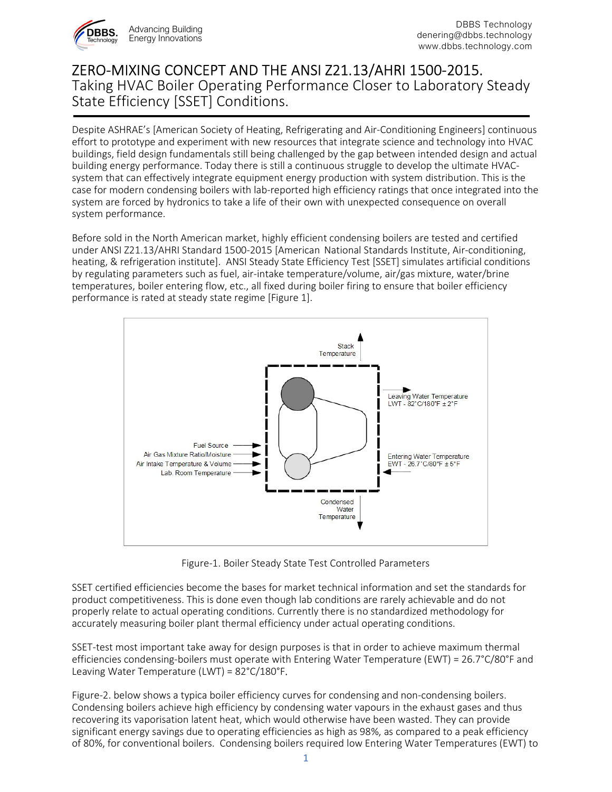

## ZERO-MIXING CONCEPT AND THE ANSI Z21.13/AHRI 1500-2015. Taking HVAC Boiler Operating Performance Closer to Laboratory Steady State Efficiency [SSET] Conditions. 1

Despite ASHRAE's [American Society of Heating, Refrigerating and Air-Conditioning Engineers] continuous effort to prototype and experiment with new resources that integrate science and technology into HVAC buildings, field design fundamentals still being challenged by the gap between intended design and actual building energy performance. Today there is still a continuous struggle to develop the ultimate HVACsystem that can effectively integrate equipment energy production with system distribution. This is the case for modern condensing boilers with lab-reported high efficiency ratings that once integrated into the system are forced by hydronics to take a life of their own with unexpected consequence on overall system performance.

Before sold in the North American market, highly efficient condensing boilers are tested and certified under ANSI Z21.13/AHRI Standard 1500-2015 [American National Standards Institute, Air-conditioning, heating, & refrigeration institute]. ANSI Steady State Efficiency Test [SSET] simulates artificial conditions by regulating parameters such as fuel, air-intake temperature/volume, air/gas mixture, water/brine temperatures, boiler entering flow, etc., all fixed during boiler firing to ensure that boiler efficiency performance is rated at steady state regime [Figure 1].



Figure-1. Boiler Steady State Test Controlled Parameters

SSET certified efficiencies become the bases for market technical information and set the standards for product competitiveness. This is done even though lab conditions are rarely achievable and do not properly relate to actual operating conditions. Currently there is no standardized methodology for accurately measuring boiler plant thermal efficiency under actual operating conditions.

SSET-test most important take away for design purposes is that in order to achieve maximum thermal efficiencies condensing-boilers must operate with Entering Water Temperature (EWT) = 26.7°C/80°F and Leaving Water Temperature (LWT) = 82°C/180°F.

Figure-2. below shows a typica boiler efficiency curves for condensing and non-condensing boilers. Condensing boilers achieve high efficiency by condensing water vapours in the exhaust gases and thus recovering its vaporisation latent heat, which would otherwise have been wasted. They can provide significant energy savings due to operating efficiencies as high as 98%, as compared to a peak efficiency of 80%, for conventional boilers. Condensing boilers required low Entering Water Temperatures (EWT) to